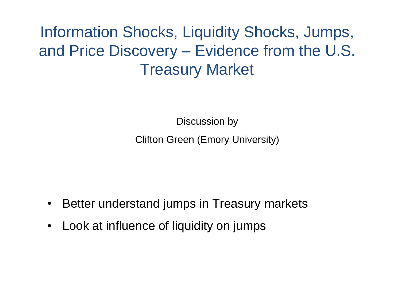Information Shocks, Liquidity Shocks, Jumps, and Price Discovery – Evidence from the U.S. Treasury Market

> Discussion by Clifton Green (Emory University)

- Better understand jumps in Treasury markets
- Look at influence of liquidity on jumps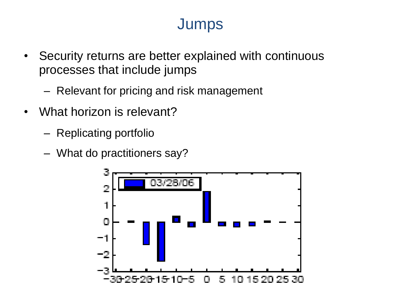# **Jumps**

- Security returns are better explained with continuous processes that include jumps
	- Relevant for pricing and risk management
- What horizon is relevant?
	- Replicating portfolio
	- What do practitioners say?

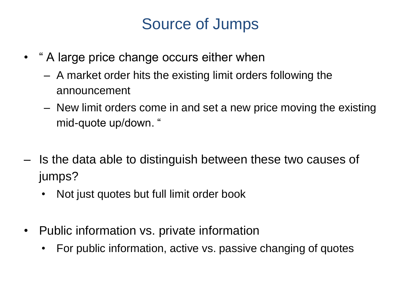## Source of Jumps

- " A large price change occurs either when
	- A market order hits the existing limit orders following the announcement
	- New limit orders come in and set a new price moving the existing mid-quote up/down. "
- Is the data able to distinguish between these two causes of jumps?
	- Not just quotes but full limit order book
- Public information vs. private information
	- For public information, active vs. passive changing of quotes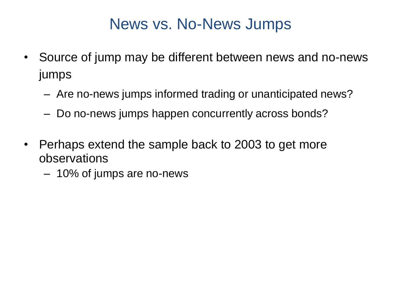### News vs. No-News Jumps

- Source of jump may be different between news and no-news jumps
	- Are no-news jumps informed trading or unanticipated news?
	- Do no-news jumps happen concurrently across bonds?
- Perhaps extend the sample back to 2003 to get more observations
	- 10% of jumps are no-news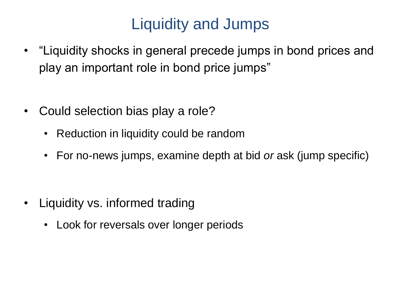# Liquidity and Jumps

- "Liquidity shocks in general precede jumps in bond prices and play an important role in bond price jumps"
- Could selection bias play a role?
	- Reduction in liquidity could be random
	- For no-news jumps, examine depth at bid *or* ask (jump specific)

- Liquidity vs. informed trading
	- Look for reversals over longer periods